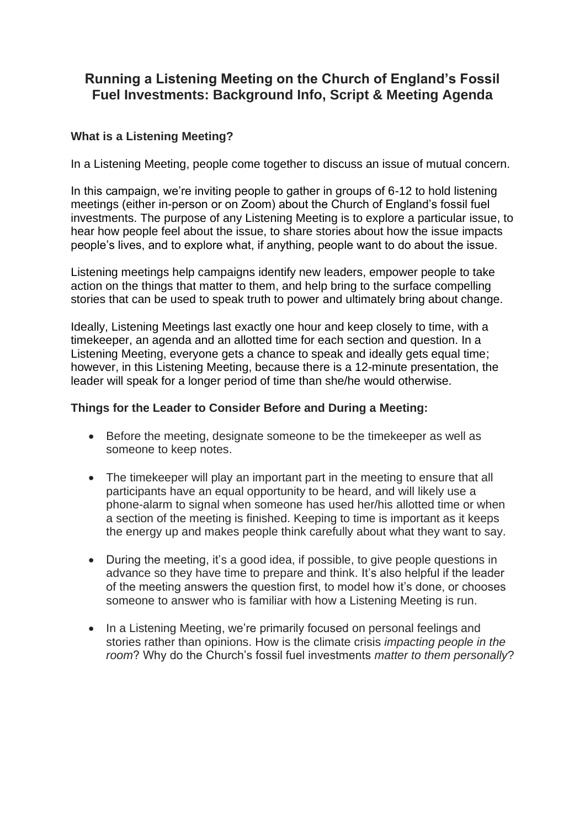## **Running a Listening Meeting on the Church of England's Fossil Fuel Investments: Background Info, Script & Meeting Agenda**

## **What is a Listening Meeting?**

In a Listening Meeting, people come together to discuss an issue of mutual concern.

In this campaign, we're inviting people to gather in groups of 6-12 to hold listening meetings (either in-person or on Zoom) about the Church of England's fossil fuel investments. The purpose of any Listening Meeting is to explore a particular issue, to hear how people feel about the issue, to share stories about how the issue impacts people's lives, and to explore what, if anything, people want to do about the issue.

Listening meetings help campaigns identify new leaders, empower people to take action on the things that matter to them, and help bring to the surface compelling stories that can be used to speak truth to power and ultimately bring about change.

Ideally, Listening Meetings last exactly one hour and keep closely to time, with a timekeeper, an agenda and an allotted time for each section and question. In a Listening Meeting, everyone gets a chance to speak and ideally gets equal time; however, in this Listening Meeting, because there is a 12-minute presentation, the leader will speak for a longer period of time than she/he would otherwise.

## **Things for the Leader to Consider Before and During a Meeting:**

- Before the meeting, designate someone to be the timekeeper as well as someone to keep notes.
- The timekeeper will play an important part in the meeting to ensure that all participants have an equal opportunity to be heard, and will likely use a phone-alarm to signal when someone has used her/his allotted time or when a section of the meeting is finished. Keeping to time is important as it keeps the energy up and makes people think carefully about what they want to say.
- During the meeting, it's a good idea, if possible, to give people questions in advance so they have time to prepare and think. It's also helpful if the leader of the meeting answers the question first, to model how it's done, or chooses someone to answer who is familiar with how a Listening Meeting is run.
- In a Listening Meeting, we're primarily focused on personal feelings and stories rather than opinions. How is the climate crisis *impacting people in the room*? Why do the Church's fossil fuel investments *matter to them personally*?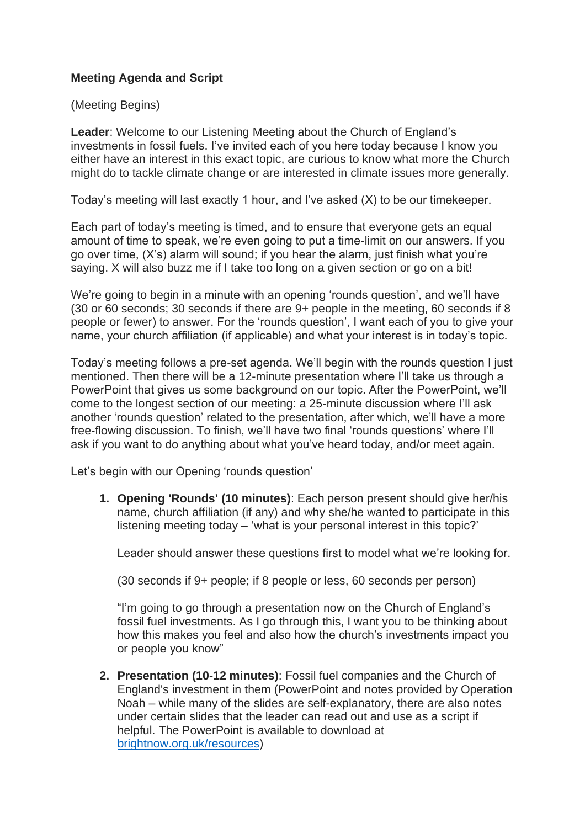## **Meeting Agenda and Script**

(Meeting Begins)

**Leader**: Welcome to our Listening Meeting about the Church of England's investments in fossil fuels. I've invited each of you here today because I know you either have an interest in this exact topic, are curious to know what more the Church might do to tackle climate change or are interested in climate issues more generally.

Today's meeting will last exactly 1 hour, and I've asked (X) to be our timekeeper.

Each part of today's meeting is timed, and to ensure that everyone gets an equal amount of time to speak, we're even going to put a time-limit on our answers. If you go over time, (X's) alarm will sound; if you hear the alarm, just finish what you're saying. X will also buzz me if I take too long on a given section or go on a bit!

We're going to begin in a minute with an opening 'rounds question', and we'll have (30 or 60 seconds; 30 seconds if there are 9+ people in the meeting, 60 seconds if 8 people or fewer) to answer. For the 'rounds question', I want each of you to give your name, your church affiliation (if applicable) and what your interest is in today's topic.

Today's meeting follows a pre-set agenda. We'll begin with the rounds question I just mentioned. Then there will be a 12-minute presentation where I'll take us through a PowerPoint that gives us some background on our topic. After the PowerPoint, we'll come to the longest section of our meeting: a 25-minute discussion where I'll ask another 'rounds question' related to the presentation, after which, we'll have a more free-flowing discussion. To finish, we'll have two final 'rounds questions' where I'll ask if you want to do anything about what you've heard today, and/or meet again.

Let's begin with our Opening 'rounds question'

**1. Opening 'Rounds' (10 minutes)**: Each person present should give her/his name, church affiliation (if any) and why she/he wanted to participate in this listening meeting today – 'what is your personal interest in this topic?'

Leader should answer these questions first to model what we're looking for.

(30 seconds if 9+ people; if 8 people or less, 60 seconds per person)

"I'm going to go through a presentation now on the Church of England's fossil fuel investments. As I go through this, I want you to be thinking about how this makes you feel and also how the church's investments impact you or people you know"

**2. Presentation (10-12 minutes)**: Fossil fuel companies and the Church of England's investment in them (PowerPoint and notes provided by Operation Noah – while many of the slides are self-explanatory, there are also notes under certain slides that the leader can read out and use as a script if helpful. The PowerPoint is available to download at [brightnow.org.uk/resources\)](https://brightnow.org.uk/resources/)